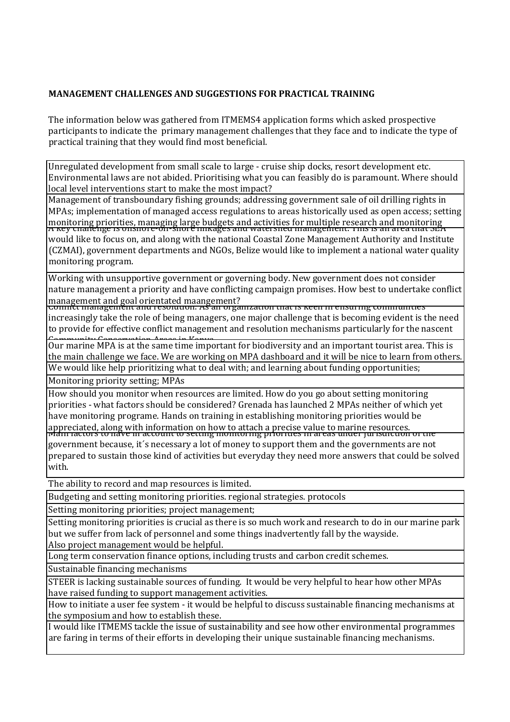## **MANAGEMENT CHALLENGES AND SUGGESTIONS FOR PRACTICAL TRAINING**

The information below was gathered from ITMEMS4 application forms which asked prospective participants to indicate the primary management challenges that they face and to indicate the type of practical training that they would find most beneficial.

Unregulated development from small scale to large - cruise ship docks, resort development etc. Environmental laws are not abided. Prioritising what you can feasibly do is paramount. Where should local level interventions start to make the most impact?

Management of transboundary fishing grounds; addressing government sale of oil drilling rights in MPAs; implementation of managed access regulations to areas historically used as open access; setting monitoring priorities, managing large budgets and activities for multiple research and monitoring<br>A Key chanelige is onshore-on-shore mikages and watershed management. This is an area that SEA would like to focus on, and along with the national Coastal Zone Management Authority and Institute (CZMAI), government departments and NGOs. Belize would like to implement a national water quality monitoring program.

Working with unsupportive government or governing body. New government does not consider nature management a priority and have conflicting campaign promises. How best to undertake conflict management and goal orientated maangement?<br>Commet management and resolution. As an organization that is keen in ensuring communities

increasingly take the role of being managers, one major challenge that is becoming evident is the need to provide for effective conflict management and resolution mechanisms particularly for the nascent

Our marine MPA is at the same time important for biodiversity and an important tourist area. This is the main challenge we face. We are working on MPA dashboard and it will be nice to learn from others. We would like help prioritizing what to deal with; and learning about funding opportunities;

Monitoring priority setting: MPAs

How should you monitor when resources are limited. How do you go about setting monitoring priorities - what factors should be considered? Grenada has launched 2 MPAs neither of which yet have monitoring programe. Hands on training in establishing monitoring priorities would be appreciated, along with information on how to attach a precise value to marine resources.<br>Main ractors to nave in account to setting monitoring priorities in areas under juristiction or the government because, it's necessary a lot of money to support them and the governments are not prepared to sustain those kind of activities but everyday they need more answers that could be solved with.

The ability to record and map resources is limited.

Budgeting and setting monitoring priorities, regional strategies, protocols

Setting monitoring priorities; project management;

Setting monitoring priorities is crucial as there is so much work and research to do in our marine park but we suffer from lack of personnel and some things inadvertently fall by the wayside. Also project management would be helpful.

Long term conservation finance options, including trusts and carbon credit schemes.

Sustainable financing mechanisms

STEER is lacking sustainable sources of funding. It would be very helpful to hear how other MPAs have raised funding to support management activities.

How to initiate a user fee system - it would be helpful to discuss sustainable financing mechanisms at the symposium and how to establish these.

I would like ITMEMS tackle the issue of sustainability and see how other environmental programmes are faring in terms of their efforts in developing their unique sustainable financing mechanisms.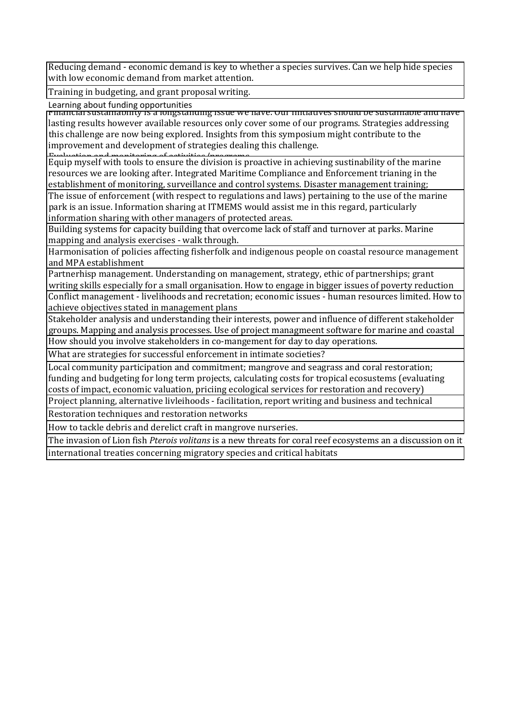Reducing demand - economic demand is key to whether a species survives. Can we help hide species with low economic demand from market attention.

Training in budgeting, and grant proposal writing.

Learning about funding opportunities

<u>financial sustainability by a longstanding issue we have. Our initiatives should be sustainable and have than </u> lasting results however available resources only cover some of our programs. Strategies addressing this challenge are now being explored. Insights from this symposium might contribute to the improvement and development of strategies dealing this challenge.

Equip myself with tools to ensure the division is proactive in achieving sustinability of the marine resources we are looking after. Integrated Maritime Compliance and Enforcement trianing in the establishment of monitoring, surveillance and control systems. Disaster management training;

The issue of enforcement (with respect to regulations and laws) pertaining to the use of the marine park is an issue. Information sharing at ITMEMS would assist me in this regard, particularly information sharing with other managers of protected areas.

Building systems for capacity building that overcome lack of staff and turnover at parks. Marine mapping and analysis exercises - walk through.

Harmonisation of policies affecting fisherfolk and indigenous people on coastal resource management and MPA establishment

Partnerhisp management. Understanding on management, strategy, ethic of partnerships; grant writing skills especially for a small organisation. How to engage in bigger issues of poverty reduction Conflict management - livelihoods and recretation; economic issues - human resources limited. How to

achieve objectives stated in management plans

Stakeholder analysis and understanding their interests, power and influence of different stakeholder groups. Mapping and analysis processes. Use of project managmeent software for marine and coastal How should you involve stakeholders in co-mangement for day to day operations.

What are strategies for successful enforcement in intimate societies?

Local community participation and commitment; mangrove and seagrass and coral restoration; funding and budgeting for long term projects, calculating costs for tropical ecosustems (evaluating costs of impact, economic valuation, priciing ecological services for restoration and recovery) Project planning, alternative livleihoods - facilitation, report writing and business and technical

Restoration techniques and restoration networks

How to tackle debris and derelict craft in mangrove nurseries.

The invasion of Lion fish *Pterois volitans* is a new threats for coral reef ecosystems an a discussion on it international treaties concerning migratory species and critical habitats